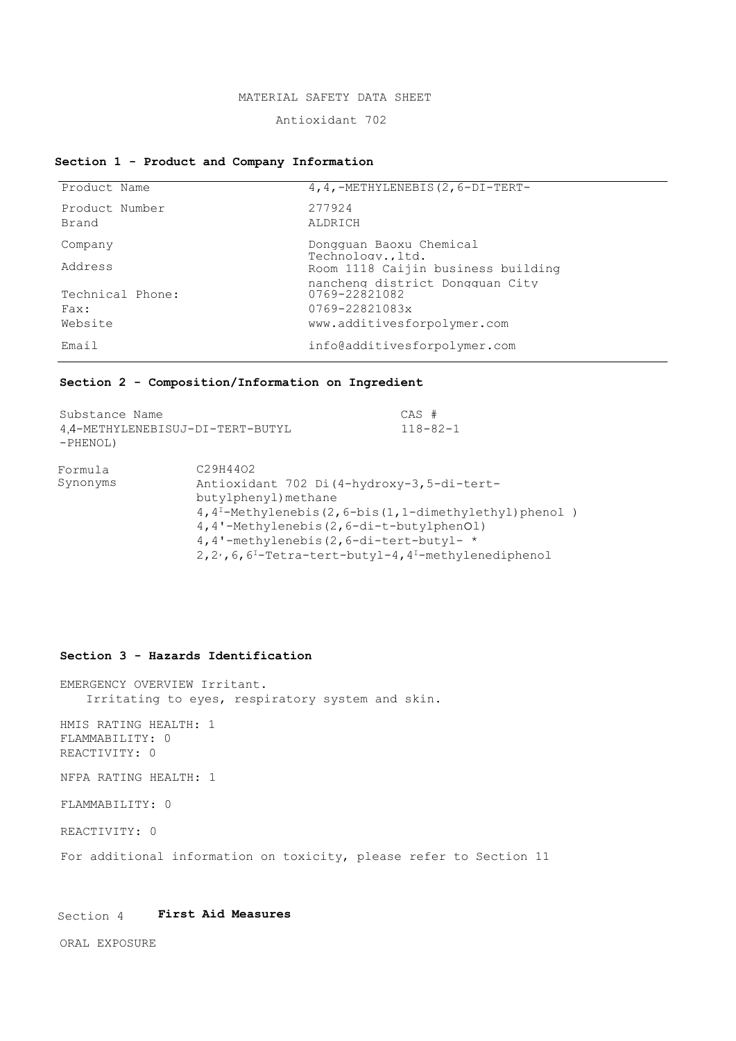#### MATERIAL SAFETY DATA SHEET

### Antioxidant 702

## **Section 1 - Product and Company Information**

| Product Name             | $4, 4, -$ METHYLENEBIS(2,6-DI-TERT-                                |
|--------------------------|--------------------------------------------------------------------|
| Product Number<br>Brand  | 277924<br>ALDRICH                                                  |
| Company                  | Dongquan Baoxu Chemical<br>Technologyltd.                          |
| Address                  | Room 1118 Caijin business building                                 |
| Technical Phone:<br>Fax: | nancheng district Dongquan City<br>0769-22821082<br>0769-22821083x |
| Website                  | www.additivesforpolymer.com                                        |
| Email                    | info@additivesforpolymer.com                                       |

### **Section 2 - Composition/Information on Ingredient**

| Substance Name<br>4.4-METHYLENEBISUJ-DI-TERT-BUTYL<br>$-PHENOL$ ) |                                                                                                                                                                                                                                                                                                                                                                          | $CAS$ #<br>$118 - 82 - 1$ |  |
|-------------------------------------------------------------------|--------------------------------------------------------------------------------------------------------------------------------------------------------------------------------------------------------------------------------------------------------------------------------------------------------------------------------------------------------------------------|---------------------------|--|
| Formula<br>Synonyms                                               | C <sub>29</sub> H <sub>44</sub> O <sub>2</sub><br>Antioxidant 702 Di (4-hydroxy-3,5-di-tert-<br>butylphenyl) methane<br>$4, 4^{\text{T}}$ -Methylenebis(2,6-bis(1,1-dimethylethyl)phenol)<br>4, 4'-Methylenebis (2, 6-di-t-butylphenOl)<br>4, 4'-methylenebis $(2, 6-di-tert-butyl- *$<br>2, 2, 6, 6 <sup>1</sup> -Tetra-tert-butyl-4, 4 <sup>1</sup> -methylenediphenol |                           |  |

### **Section 3 - Hazards Identification**

EMERGENCY OVERVIEW Irritant. Irritating to eyes, respiratory system and skin.

HMIS RATING HEALTH: 1 FLAMMABILITY: 0 REACTIVITY: 0

NFPA RATING HEALTH: 1

FLAMMABILITY: 0

REACTIVITY: 0

For additional information on toxicity, please refer to Section 11

# Section 4 **First Aid Measures**

ORAL EXPOSURE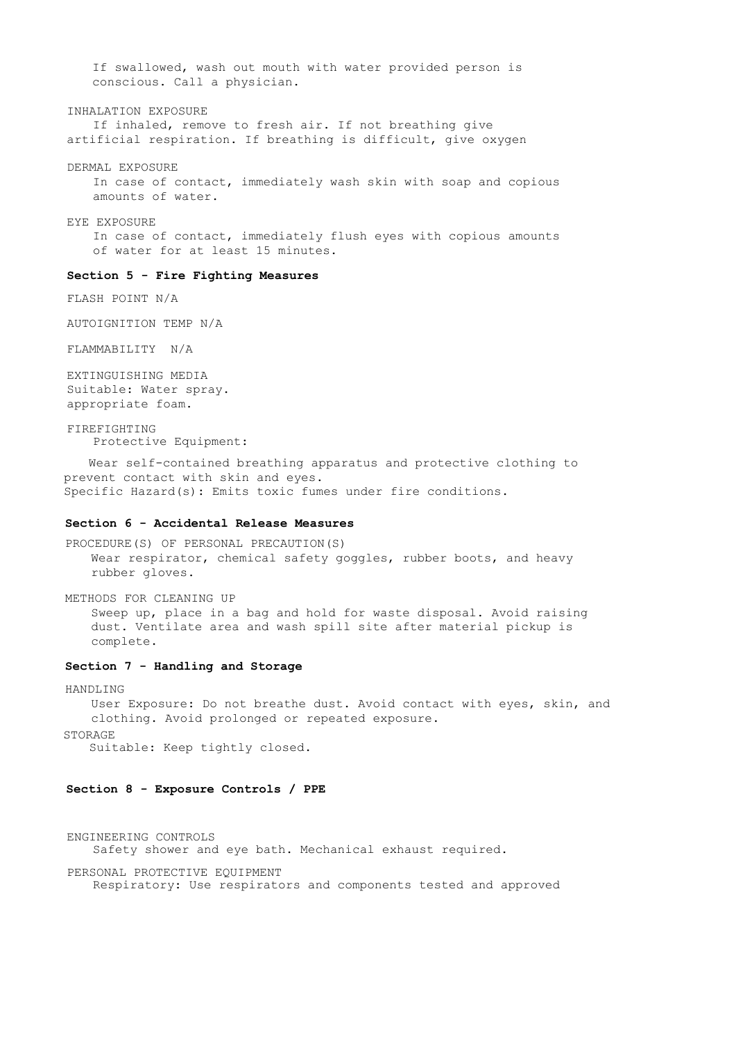If swallowed, wash out mouth with water provided person is conscious. Call a physician.

#### INHALATION EXPOSURE

If inhaled, remove to fresh air. If not breathing give artificial respiration. If breathing is difficult, give oxygen

DERMAL EXPOSURE

In case of contact, immediately wash skin with soap and copious amounts of water.

EYE EXPOSURE

In case of contact, immediately flush eyes with copious amounts of water for at least 15 minutes.

### **Section 5 - Fire Fighting Measures**

FLASH POINT N/A

AUTOIGNITION TEMP N/A

FLAMMABILITY N/A

EXTINGUISHING MEDIA Suitable: Water spray. appropriate foam.

FIREFIGHTING Protective Equipment:

Wear self-contained breathing apparatus and protective clothing to prevent contact with skin and eyes. Specific Hazard(s): Emits toxic fumes under fire conditions.

### **Section 6 - Accidental Release Measures**

PROCEDURE(S) OF PERSONAL PRECAUTION(S) Wear respirator, chemical safety goggles, rubber boots, and heavy rubber gloves.

METHODS FOR CLEANING UP Sweep up, place in a bag and hold for waste disposal. Avoid raising dust. Ventilate area and wash spill site after material pickup is complete.

# **Section 7 - Handling and Storage**

HANDLING

User Exposure: Do not breathe dust. Avoid contact with eyes, skin, and clothing. Avoid prolonged or repeated exposure.

STORAGE

Suitable: Keep tightly closed.

### **Section 8 - Exposure Controls / PPE**

ENGINEERING CONTROLS Safety shower and eye bath. Mechanical exhaust required.

PERSONAL PROTECTIVE EQUIPMENT Respiratory: Use respirators and components tested and approved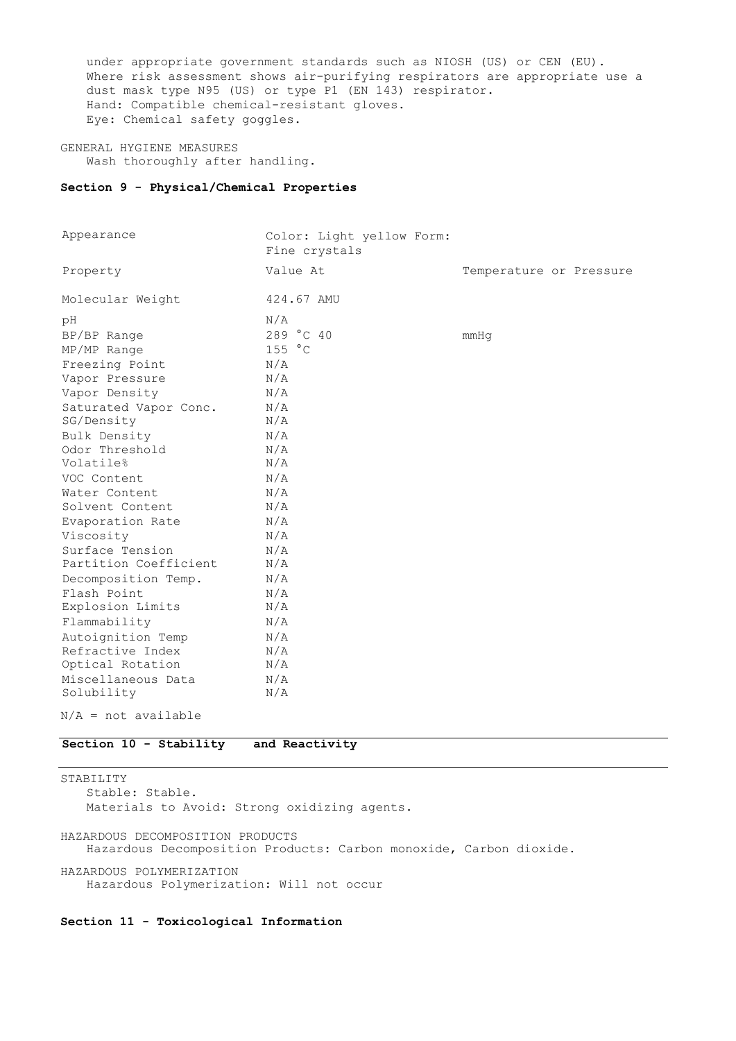under appropriate government standards such as NIOSH (US) or CEN (EU). Where risk assessment shows air-purifying respirators are appropriate use a dust mask type N95 (US) or type P1 (EN 143) respirator. Hand: Compatible chemical-resistant gloves. Eye: Chemical safety goggles.

GENERAL HYGIENE MEASURES Wash thoroughly after handling.

### **Section 9 - Physical/Chemical Properties**

| Appearance              | Color: Light yellow Form:<br>Fine crystals |                         |
|-------------------------|--------------------------------------------|-------------------------|
| Property                | Value At                                   | Temperature or Pressure |
| Molecular Weight        | 424.67 AMU                                 |                         |
| рH                      | N/A                                        |                         |
| BP/BP Range             | 289 °C 40                                  | mmHq                    |
| MP/MP Range             | 155 °C                                     |                         |
| Freezing Point          | N/A                                        |                         |
| Vapor Pressure          | N/A                                        |                         |
| Vapor Density           | N/A                                        |                         |
| Saturated Vapor Conc.   | N/A                                        |                         |
| SG/Density              | N/A                                        |                         |
| Bulk Density            | N/A                                        |                         |
| Odor Threshold          | N/A                                        |                         |
| Volatile%               | N/A                                        |                         |
| VOC Content             | N/A                                        |                         |
| Water Content           | N/A                                        |                         |
| Solvent Content         | N/A                                        |                         |
| Evaporation Rate        | N/A                                        |                         |
| Viscosity               | N/A                                        |                         |
| Surface Tension         | N/A                                        |                         |
| Partition Coefficient   | N/A                                        |                         |
| Decomposition Temp.     | N/A                                        |                         |
| Flash Point             | N/A                                        |                         |
| Explosion Limits        | N/A                                        |                         |
| Flammability            | N/A                                        |                         |
| Autoignition Temp       | N/A                                        |                         |
| Refractive Index        | N/A                                        |                         |
| Optical Rotation        | N/A                                        |                         |
| Miscellaneous Data      | N/A                                        |                         |
| Solubility              | N/A                                        |                         |
| $M/\pi = m + m + 1 - h$ |                                            |                         |

 $N/A$  = not available

### **Section 10 - Stability and Reactivity**

STABILITY Stable: Stable. Materials to Avoid: Strong oxidizing agents. HAZARDOUS DECOMPOSITION PRODUCTS Hazardous Decomposition Products: Carbon monoxide, Carbon dioxide.

HAZARDOUS POLYMERIZATION Hazardous Polymerization: Will not occur

### **Section 11 - Toxicological Information**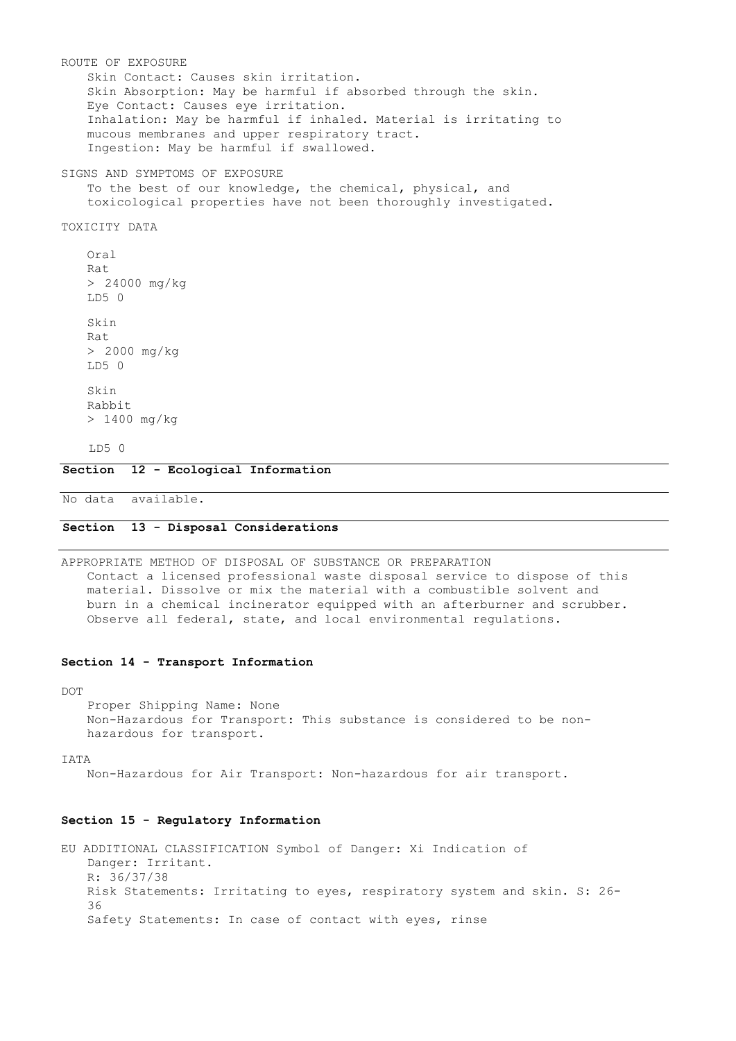ROUTE OF EXPOSURE Skin Contact: Causes skin irritation. Skin Absorption: May be harmful if absorbed through the skin. Eye Contact: Causes eye irritation. Inhalation: May be harmful if inhaled. Material is irritating to mucous membranes and upper respiratory tract. Ingestion: May be harmful if swallowed. SIGNS AND SYMPTOMS OF EXPOSURE To the best of our knowledge, the chemical, physical, and toxicological properties have not been thoroughly investigated. TOXICITY DATA Oral  $R = +$ > 24000 mg/kg  $T.D5$   $\Omega$ Skin Rat > 2000 mg/kg LD5 0 Skin Rabbit > 1400 mg/kg LD5 0 **Section 12 - Ecological Information**

No data available.

### **Section 13 - Disposal Considerations**

APPROPRIATE METHOD OF DISPOSAL OF SUBSTANCE OR PREPARATION Contact a licensed professional waste disposal service to dispose of this material. Dissolve or mix the material with a combustible solvent and burn in a chemical incinerator equipped with an afterburner and scrubber. Observe all federal, state, and local environmental regulations.

#### **Section 14 - Transport Information**

DOT

Proper Shipping Name: None Non-Hazardous for Transport: This substance is considered to be nonhazardous for transport.

IATA

Non-Hazardous for Air Transport: Non-hazardous for air transport.

### **Section 15 - Regulatory Information**

EU ADDITIONAL CLASSIFICATION Symbol of Danger: Xi Indication of Danger: Irritant. R: 36/37/38 Risk Statements: Irritating to eyes, respiratory system and skin. S: 26- 36 Safety Statements: In case of contact with eyes, rinse